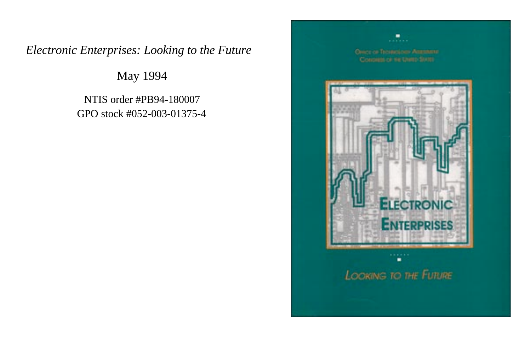## *Electronic Enterprises: Looking to the Future*

May 1994

NTIS order #PB94-180007 GPO stock #052-003-01375-4

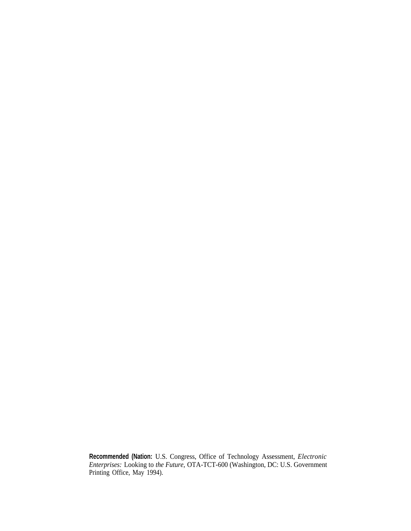**Recommended (Nation:** U.S. Congress, Office of Technology Assessment, *Electronic Enterprises:* Looking to *the Future,* OTA-TCT-600 (Washington, DC: U.S. Government Printing Office, May 1994).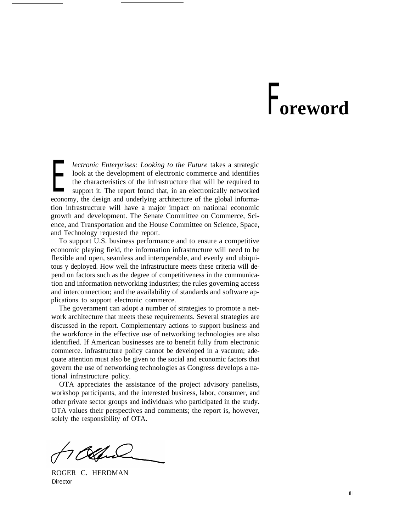## F**oreword**

the characteristics of the infrastructure that will be required to support it. The report found that, in an electronically networked *lectronic Enterprises: Looking to the Future* takes a strategic look at the development of electronic commerce and identifies support it. The report found that, in an electronically networked economy, the design and underlying architecture of the global information infrastructure will have a major impact on national economic growth and development. The Senate Committee on Commerce, Science, and Transportation and the House Committee on Science, Space, and Technology requested the report.

To support U.S. business performance and to ensure a competitive economic playing field, the information infrastructure will need to be flexible and open, seamless and interoperable, and evenly and ubiquitous y deployed. How well the infrastructure meets these criteria will depend on factors such as the degree of competitiveness in the communication and information networking industries; the rules governing access and interconnection; and the availability of standards and software applications to support electronic commerce.

The government can adopt a number of strategies to promote a network architecture that meets these requirements. Several strategies are discussed in the report. Complementary actions to support business and the workforce in the effective use of networking technologies are also identified. If American businesses are to benefit fully from electronic commerce. infrastructure policy cannot be developed in a vacuum; adequate attention must also be given to the social and economic factors that govern the use of networking technologies as Congress develops a national infrastructure policy.

OTA appreciates the assistance of the project advisory panelists, workshop participants, and the interested business, labor, consumer, and other private sector groups and individuals who participated in the study. OTA values their perspectives and comments; the report is, however, solely the responsibility of OTA.

ROGER C. HERDMAN **Director**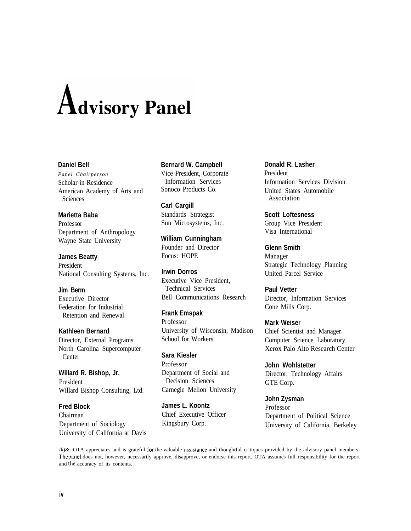# **Advisory Panel**

### **Daniel Bell**

*Panel Chairperson* Scholar-in-Residence American Academy of Arts and **Sciences** 

**Marietta Baba**

Professor Department of Anthropology Wayne State University

**James Beatty** President National Consulting Systems, Inc.

## **Jim Berm**

Executive Director Federation for Industrial Retention and Renewal

**Kathleen Bernard** Director, External Programs North Carolina Supercomputer

Center **Willard R. Bishop, Jr.** President Willard Bishop Consulting, Ltd.

**Fred Block** Chairman Department of Sociology University of California at Davis **Bernard W. Campbell** Vice President, Corporate Information Services Sonoco Products Co.

**Carl Cargill** Standards Strategist Sun Microsystems, Inc.

**William Cunningham** Founder and Director Focus: HOPE

**Irwin Dorros** Executive Vice President, Technical Services Bell Communications Research

**Frank Emspak** Professor University of Wisconsin, Madison School for Workers

**Sara Kiesler** Professor Department of Social and Decision Sciences Carnegie Mellon University

**James L. Koontz** Chief Executive Officer Kingsbury Corp.

**Donald R. Lasher** President Information Services Division United States Automobile Association

**Scott Loftesness** Group Vice President Visa International

**Glenn Smith** Manager Strategic Technology Planning United Parcel Service

**Paul Vetter** Director, Information Services Cone Mills Corp.

**Mark Weiser** Chief Scientist and Manager Computer Science Laboratory Xerox Palo Alto Research Center

**John Wohlstetter** Director, Technology Affairs GTE Corp.

**John Zysman** Professor Department of Political Science University of California, Berkeley

/k)&: OTA appreciates and is grateful for the valuable assistance and thoughtful critiques provided by the advisory panel members. The panel does not, however, necessarily approve, disapprove, or endorse this report. OTA assumes full responsibility for the report and the accuracy of its contents.